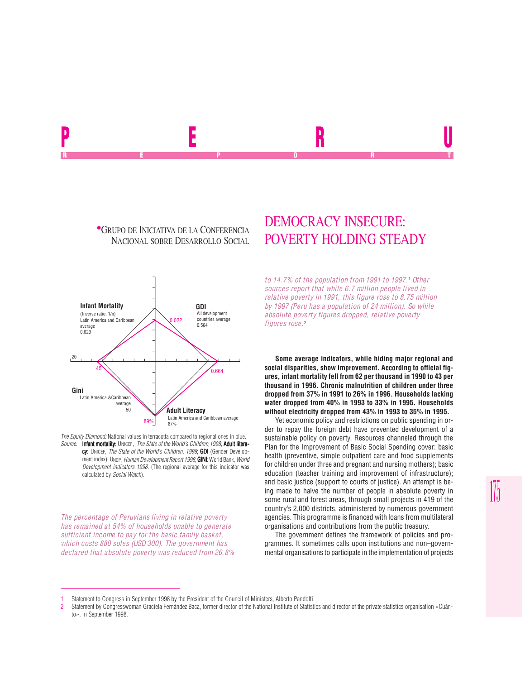**• GRUPO DE INICIATIVA DE LA CONFERENCIA<br>NACIONAL SOBRE DESARROLLO SOCIAL** 



*The Equity Diamond:* National values in terracotta compared to regional ones in blue. *Source:* Infant mortality: UNICEF, *The State of the World's Children,1998*; Adult literacy: UNICEF, *The State of the World's Children, 1998*; **GDI** (Gender Development index): UNDP, *Human Development Report 1998*; **GINI**: World Bank, *World Development indicators 1998*. (The regional average for this indicator was calculated by *Social Watch*).

*The percentage of Peruvians living in relative poverty has remained at 54% of households unable to generate sufficient income to pay for the basic family basket, which costs 880 soles (USD 300). The government has declared that absolute poverty was reduced from 26.8%*

# DEMOCRACY INSECURE: POVERTY HOLDING STEADY

*to 14.7% of the population from 1991 to 1997.*<sup>1</sup>  *Other sources report that while 6.7 million people lived in relative poverty in 1991, this figure rose to 8.75 million by 1997 (Peru has a population of 24 million). So while absolute poverty figures dropped, relative poverty figures rose.*<sup>2</sup>

**Some average indicators, while hiding major regional and social disparities, show improvement. According to official figures, infant mortality fell from 62 per thousand in 1990 to 43 per thousand in 1996. Chronic malnutrition of children under three dropped from 37% in 1991 to 26% in 1996. Households lacking water dropped from 40% in 1993 to 33% in 1995. Households without electricity dropped from 43% in 1993 to 35% in 1995.**

Yet economic policy and restrictions on public spending in order to repay the foreign debt have prevented development of a sustainable policy on poverty. Resources channeled through the Plan for the Improvement of Basic Social Spending cover: basic health (preventive, simple outpatient care and food supplements for children under three and pregnant and nursing mothers); basic education (teacher training and improvement of infrastructure); and basic justice (support to courts of justice). An attempt is being made to halve the number of people in absolute poverty in some rural and forest areas, through small projects in 419 of the country's 2,000 districts, administered by numerous government agencies. This programme is financed with loans from multilateral organisations and contributions from the public treasury.

The government defines the framework of policies and programmes. It sometimes calls upon institutions and non–governmental organisations to participate in the implementation of projects

<sup>1</sup> Statement to Congress in September 1998 by the President of the Council of Ministers, Alberto Pandolfi.<br>2 Statement by Congresswoman Graciela Fernández Baca former director of the National Institute of Statisti

Statement by Congresswoman Graciela Fernández Baca, former director of the National Institute of Statistics and director of the private statistics organisation «Cuánto», in September 1998.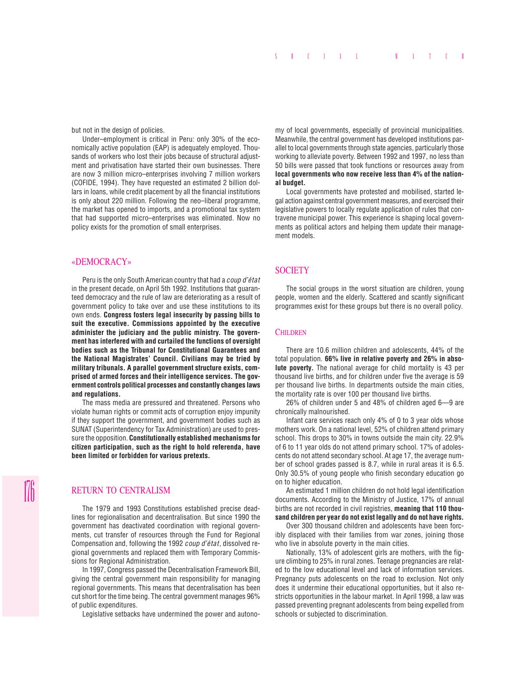but not in the design of policies.

Under–employment is critical in Peru: only 30% of the economically active population (EAP) is adequately employed. Thousands of workers who lost their jobs because of structural adjustment and privatisation have started their own businesses. There are now 3 million micro–enterprises involving 7 million workers (COFIDE, 1994). They have requested an estimated 2 billion dollars in loans, while credit placement by all the financial institutions is only about 220 million. Following the neo–liberal programme, the market has opened to imports, and a promotional tax system that had supported micro–enterprises was eliminated. Now no policy exists for the promotion of small enterprises.

### «DEMOCRACY»

Peru is the only South American country that had a *coup d'état* in the present decade, on April 5th 1992. Institutions that guaranteed democracy and the rule of law are deteriorating as a result of government policy to take over and use these institutions to its own ends. **Congress fosters legal insecurity by passing bills to suit the executive. Commissions appointed by the executive administer the judiciary and the public ministry. The government has interfered with and curtailed the functions of oversight bodies such as the Tribunal for Constitutional Guarantees and the National Magistrates' Council. Civilians may be tried by military tribunals. A parallel government structure exists, comprised of armed forces and their intelligence services. The government controls political processes and constantly changes laws and regulations.**

The mass media are pressured and threatened. Persons who violate human rights or commit acts of corruption enjoy impunity if they support the government, and government bodies such as SUNAT (Superintendency for Tax Administration) are used to pressure the opposition. **Constitutionally established mechanisms for citizen participation, such as the right to hold referenda, have been limited or forbidden for various pretexts.**

## RETURN TO CENTRALISM

The 1979 and 1993 Constitutions established precise deadlines for regionalisation and decentralisation. But since 1990 the government has deactivated coordination with regional governments, cut transfer of resources through the Fund for Regional Compensation and, following the 1992 *coup d'état*, dissolved regional governments and replaced them with Temporary Commissions for Regional Administration.

In 1997, Congress passed the Decentralisation Framework Bill, giving the central government main responsibility for managing regional governments. This means that decentralisation has been cut short for the time being. The central government manages 96% of public expenditures.

Legislative setbacks have undermined the power and autono-

my of local governments, especially of provincial municipalities. Meanwhile, the central government has developed institutions parallel to local governments through state agencies, particularly those working to alleviate poverty. Between 1992 and 1997, no less than 50 bills were passed that took functions or resources away from **local governments who now receive less than 4% of the national budget.**

Local governments have protested and mobilised, started legal action against central government measures, and exercised their legislative powers to locally regulate application of rules that contravene municipal power. This experience is shaping local governments as political actors and helping them update their management models.

## **SOCIETY**

The social groups in the worst situation are children, young people, women and the elderly. Scattered and scantly significant programmes exist for these groups but there is no overall policy.

## **CHILDREN**

There are 10.6 million children and adolescents, 44% of the total population. **66% live in relative poverty and 26% in absolute poverty.** The national average for child mortality is 43 per thousand live births, and for children under five the average is 59 per thousand live births. In departments outside the main cities, the mortality rate is over 100 per thousand live births.

26% of children under 5 and 48% of children aged 6—9 are chronically malnourished.

Infant care services reach only 4% of 0 to 3 year olds whose mothers work. On a national level, 52% of children attend primary school. This drops to 30% in towns outside the main city. 22.9% of 6 to 11 year olds do not attend primary school. 17% of adolescents do not attend secondary school. At age 17, the average number of school grades passed is 8.7, while in rural areas it is 6.5. Only 30.5% of young people who finish secondary education go on to higher education.

An estimated 1 million children do not hold legal identification documents. According to the Ministry of Justice, 17% of annual births are not recorded in civil registries, **meaning that 110 thousand children per year do not exist legally and do not have rights.**

Over 300 thousand children and adolescents have been forcibly displaced with their families from war zones, joining those who live in absolute poverty in the main cities.

Nationally, 13% of adolescent girls are mothers, with the figure climbing to 25% in rural zones. Teenage pregnancies are related to the low educational level and lack of information services. Pregnancy puts adolescents on the road to exclusion. Not only does it undermine their educational opportunities, but it also restricts opportunities in the labour market. In April 1998, a law was passed preventing pregnant adolescents from being expelled from schools or subjected to discrimination.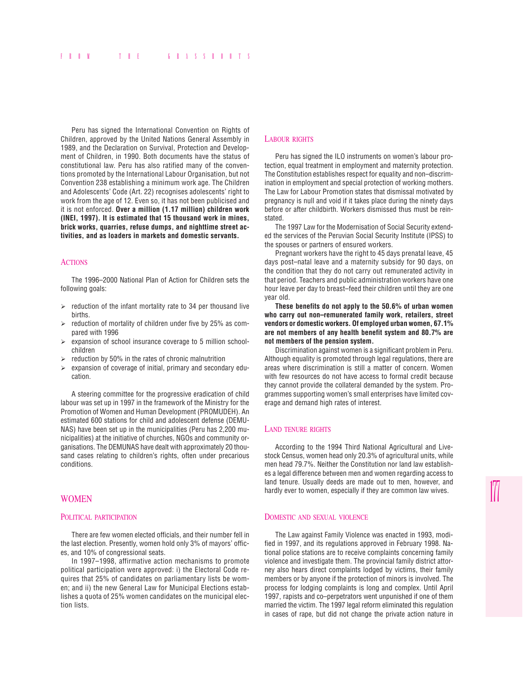Peru has signed the International Convention on Rights of Children, approved by the United Nations General Assembly in 1989, and the Declaration on Survival, Protection and Development of Children, in 1990. Both documents have the status of constitutional law. Peru has also ratified many of the conventions promoted by the International Labour Organisation, but not Convention 238 establishing a minimum work age. The Children and Adolescents' Code (Art. 22) recognises adolescents' right to work from the age of 12. Even so, it has not been publicised and it is not enforced. **Over a million (1.17 million) children work (INEI, 1997). It is estimated that 15 thousand work in mines, brick works, quarries, refuse dumps, and nighttime street activities, and as loaders in markets and domestic servants.**

#### **ACTIONS**

The 1996–2000 National Plan of Action for Children sets the following goals:

- $\ge$  reduction of the infant mortality rate to 34 per thousand live births.
- $\triangleright$  reduction of mortality of children under five by 25% as compared with 1996
- $\triangleright$  expansion of school insurance coverage to 5 million schoolchildren
- $\triangleright$  reduction by 50% in the rates of chronic malnutrition
- $\triangleright$  expansion of coverage of initial, primary and secondary education.

A steering committee for the progressive eradication of child labour was set up in 1997 in the framework of the Ministry for the Promotion of Women and Human Development (PROMUDEH). An estimated 600 stations for child and adolescent defense (DEMU-NAS) have been set up in the municipalities (Peru has 2,200 municipalities) at the initiative of churches, NGOs and community organisations. The DEMUNAS have dealt with approximately 20 thousand cases relating to children's rights, often under precarious conditions.

## WOMEN

#### POLITICAL PARTICIPATION

There are few women elected officials, and their number fell in the last election. Presently, women hold only 3% of mayors' offices, and 10% of congressional seats.

In 1997–1998, affirmative action mechanisms to promote political participation were approved: i) the Electoral Code requires that 25% of candidates on parliamentary lists be women; and ii) the new General Law for Municipal Elections establishes a quota of 25% women candidates on the municipal election lists.

#### LABOUR RIGHTS

Peru has signed the ILO instruments on women's labour protection, equal treatment in employment and maternity protection. The Constitution establishes respect for equality and non–discrimination in employment and special protection of working mothers. The Law for Labour Promotion states that dismissal motivated by pregnancy is null and void if it takes place during the ninety days before or after childbirth. Workers dismissed thus must be reinstated.

The 1997 Law for the Modernisation of Social Security extended the services of the Peruvian Social Security Institute (IPSS) to the spouses or partners of ensured workers.

Pregnant workers have the right to 45 days prenatal leave, 45 days post–natal leave and a maternity subsidy for 90 days, on the condition that they do not carry out remunerated activity in that period. Teachers and public administration workers have one hour leave per day to breast–feed their children until they are one year old.

**These benefits do not apply to the 50.6% of urban women who carry out non–remunerated family work, retailers, street vendors or domestic workers. Of employed urban women, 67.1% are not members of any health benefit system and 80.7% are not members of the pension system.**

Discrimination against women is a significant problem in Peru. Although equality is promoted through legal regulations, there are areas where discrimination is still a matter of concern. Women with few resources do not have access to formal credit because they cannot provide the collateral demanded by the system. Programmes supporting women's small enterprises have limited coverage and demand high rates of interest.

#### LAND TENURE RIGHTS

According to the 1994 Third National Agricultural and Livestock Census, women head only 20.3% of agricultural units, while men head 79.7%. Neither the Constitution nor land law establishes a legal difference between men and women regarding access to land tenure. Usually deeds are made out to men, however, and hardly ever to women, especially if they are common law wives.

#### DOMESTIC AND SEXUAL VIOLENCE

The Law against Family Violence was enacted in 1993, modified in 1997, and its regulations approved in February 1998. National police stations are to receive complaints concerning family violence and investigate them. The provincial family district attorney also hears direct complaints lodged by victims, their family members or by anyone if the protection of minors is involved. The process for lodging complaints is long and complex. Until April 1997, rapists and co–perpetrators went unpunished if one of them married the victim. The 1997 legal reform eliminated this regulation in cases of rape, but did not change the private action nature in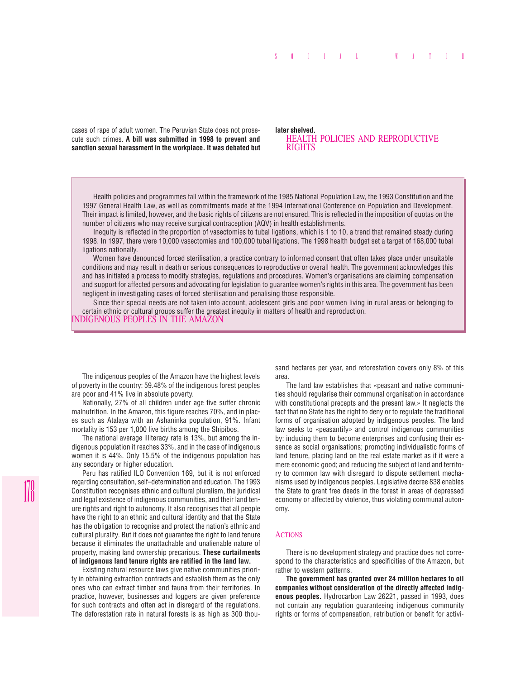cases of rape of adult women. The Peruvian State does not prosecute such crimes. **A bill was submitted in 1998 to prevent and sanction sexual harassment in the workplace. It was debated but**

#### **later shelved.** HEALTH POLICIES AND REPRODUCTIVE RIGHTS

Health policies and programmes fall within the framework of the 1985 National Population Law, the 1993 Constitution and the 1997 General Health Law, as well as commitments made at the 1994 International Conference on Population and Development. Their impact is limited, however, and the basic rights of citizens are not ensured. This is reflected in the imposition of quotas on the number of citizens who may receive surgical contraception (AQV) in health establishments.

Inequity is reflected in the proportion of vasectomies to tubal ligations, which is 1 to 10, a trend that remained steady during 1998. In 1997, there were 10,000 vasectomies and 100,000 tubal ligations. The 1998 health budget set a target of 168,000 tubal ligations nationally.

Women have denounced forced sterilisation, a practice contrary to informed consent that often takes place under unsuitable conditions and may result in death or serious consequences to reproductive or overall health. The government acknowledges this and has initiated a process to modify strategies, regulations and procedures. Women's organisations are claiming compensation and support for affected persons and advocating for legislation to guarantee women's rights in this area. The government has been negligent in investigating cases of forced sterilisation and penalising those responsible.

Since their special needs are not taken into account, adolescent girls and poor women living in rural areas or belonging to certain ethnic or cultural groups suffer the greatest inequity in matters of health and reproduction.

INDIGENOUS PEOPLES IN THE AMAZON

The indigenous peoples of the Amazon have the highest levels of poverty in the country: 59.48% of the indigenous forest peoples are poor and 41% live in absolute poverty.

Nationally, 27% of all children under age five suffer chronic malnutrition. In the Amazon, this figure reaches 70%, and in places such as Atalaya with an Ashaninka population, 91%. Infant mortality is 153 per 1,000 live births among the Shipibos.

The national average illiteracy rate is 13%, but among the indigenous population it reaches 33%, and in the case of indigenous women it is 44%. Only 15.5% of the indigenous population has any secondary or higher education.

Peru has ratified ILO Convention 169, but it is not enforced regarding consultation, self–determination and education. The 1993 Constitution recognises ethnic and cultural pluralism, the juridical and legal existence of indigenous communities, and their land tenure rights and right to autonomy. It also recognises that all people have the right to an ethnic and cultural identity and that the State has the obligation to recognise and protect the nation's ethnic and cultural plurality. But it does not guarantee the right to land tenure because it eliminates the unattachable and unalienable nature of property, making land ownership precarious. **These curtailments of indigenous land tenure rights are ratified in the land law.**

Existing natural resource laws give native communities priority in obtaining extraction contracts and establish them as the only ones who can extract timber and fauna from their territories. In practice, however, businesses and loggers are given preference for such contracts and often act in disregard of the regulations. The deforestation rate in natural forests is as high as 300 thousand hectares per year, and reforestation covers only 8% of this area.

The land law establishes that «peasant and native communities should regularise their communal organisation in accordance with constitutional precepts and the present law.» It neglects the fact that no State has the right to deny or to regulate the traditional forms of organisation adopted by indigenous peoples. The land law seeks to «peasantify» and control indigenous communities by: inducing them to become enterprises and confusing their essence as social organisations; promoting individualistic forms of land tenure, placing land on the real estate market as if it were a mere economic good; and reducing the subject of land and territory to common law with disregard to dispute settlement mechanisms used by indigenous peoples. Legislative decree 838 enables the State to grant free deeds in the forest in areas of depressed economy or affected by violence, thus violating communal autonomy.

#### **ACTIONS**

There is no development strategy and practice does not correspond to the characteristics and specificities of the Amazon, but rather to western patterns.

**The government has granted over 24 million hectares to oil companies without consideration of the directly affected indigenous peoples.** Hydrocarbon Law 26221, passed in 1993, does not contain any regulation guaranteeing indigenous community rights or forms of compensation, retribution or benefit for activi